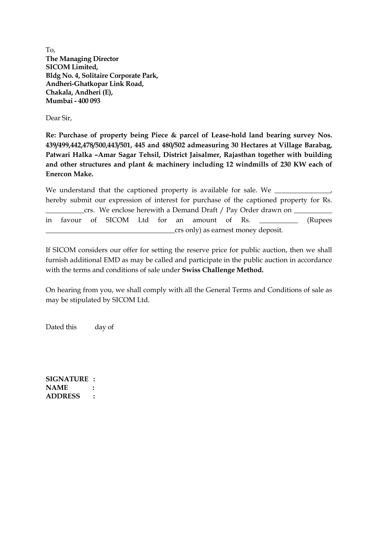To, **The Managing Director SICOM Limited, Bldg No. 4, Solitaire Corporate Park, Andheri-Ghatkopar Link Road, Chakala, Andheri (E), Mumbai - 400 093**

Dear Sir,

**Re: Purchase of property being Piece & parcel of Lease-hold land bearing survey Nos. 439/499,442,478/500,443/501, 445 and 480/502 admeasuring 30 Hectares at Village Barabag, Patwari Halka –Amar Sagar Tehsil, District Jaisalmer, Rajasthan together with building and other structures and plant & machinery including 12 windmills of 230 KW each of Enercon Make.**

We understand that the captioned property is available for sale. We  $\_$ hereby submit our expression of interest for purchase of the captioned property for Rs. crs. We enclose herewith a Demand Draft / Pay Order drawn on in favour of SICOM Ltd for an amount of Rs.  $\qquad \qquad$  (Rupees \_\_\_\_\_\_\_\_\_\_\_\_\_\_\_\_\_\_\_\_\_\_\_\_\_\_\_\_\_\_\_\_\_\_\_\_\_crs only) as earnest money deposit.

If SICOM considers our offer for setting the reserve price for public auction, then we shall furnish additional EMD as may be called and participate in the public auction in accordance with the terms and conditions of sale under **Swiss Challenge Method.**

On hearing from you, we shall comply with all the General Terms and Conditions of sale as may be stipulated by SICOM Ltd.

Dated this day of

**SIGNATURE : NAME : ADDRESS :**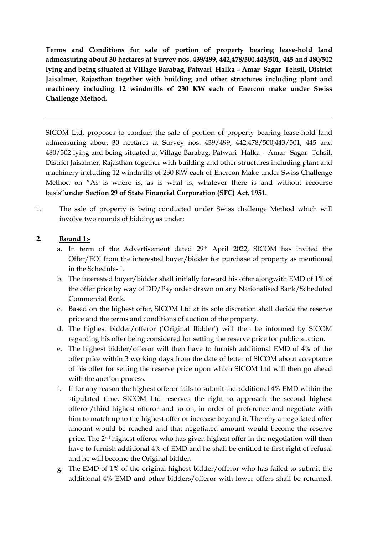**Terms and Conditions for sale of portion of property bearing lease-hold land admeasuring about 30 hectares at Survey nos. 439/499, 442,478/500,443/501, 445 and 480/502 lying and being situated at Village Barabag, Patwari Halka – Amar Sagar Tehsil, District Jaisalmer, Rajasthan together with building and other structures including plant and machinery including 12 windmills of 230 KW each of Enercon make under Swiss Challenge Method.**

SICOM Ltd. proposes to conduct the sale of portion of property bearing lease-hold land admeasuring about 30 hectares at Survey nos. 439/499, 442,478/500,443/501, 445 and 480/502 lying and being situated at Village Barabag, Patwari Halka – Amar Sagar Tehsil, District Jaisalmer, Rajasthan together with building and other structures including plant and machinery including 12 windmills of 230 KW each of Enercon Make under Swiss Challenge Method on "As is where is, as is what is, whatever there is and without recourse basis"**under Section 29 of State Financial Corporation (SFC) Act, 1951.**

1. The sale of property is being conducted under Swiss challenge Method which will involve two rounds of bidding as under:

## **2. Round 1:-**

- a. In term of the Advertisement dated 29th April 2022, SICOM has invited the Offer/EOI from the interested buyer/bidder for purchase of property as mentioned in the Schedule- I.
- b. The interested buyer/bidder shall initially forward his offer alongwith EMD of 1% of the offer price by way of DD/Pay order drawn on any Nationalised Bank/Scheduled Commercial Bank.
- c. Based on the highest offer, SICOM Ltd at its sole discretion shall decide the reserve price and the terms and conditions of auction of the property.
- d. The highest bidder/offeror ('Original Bidder') will then be informed by SICOM regarding his offer being considered for setting the reserve price for public auction.
- e. The highest bidder/offeror will then have to furnish additional EMD of 4% of the offer price within 3 working days from the date of letter of SICOM about acceptance of his offer for setting the reserve price upon which SICOM Ltd will then go ahead with the auction process.
- f. If for any reason the highest offeror fails to submit the additional 4% EMD within the stipulated time, SICOM Ltd reserves the right to approach the second highest offeror/third highest offeror and so on, in order of preference and negotiate with him to match up to the highest offer or increase beyond it. Thereby a negotiated offer amount would be reached and that negotiated amount would become the reserve price. The 2nd highest offeror who has given highest offer in the negotiation will then have to furnish additional 4% of EMD and he shall be entitled to first right of refusal and he will become the Original bidder.
- g. The EMD of 1% of the original highest bidder/offeror who has failed to submit the additional 4% EMD and other bidders/offeror with lower offers shall be returned.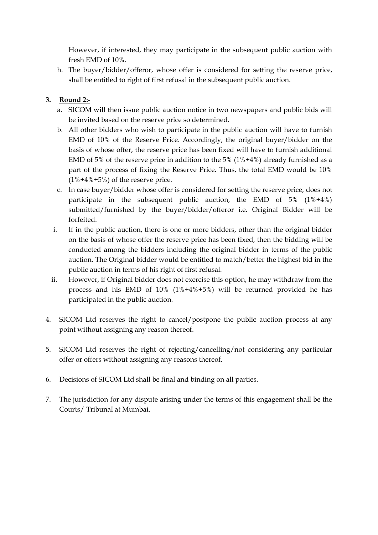However, if interested, they may participate in the subsequent public auction with fresh EMD of 10%.

h. The buyer/bidder/offeror, whose offer is considered for setting the reserve price, shall be entitled to right of first refusal in the subsequent public auction.

## **3. Round 2:-**

- a. SICOM will then issue public auction notice in two newspapers and public bids will be invited based on the reserve price so determined.
- b. All other bidders who wish to participate in the public auction will have to furnish EMD of 10% of the Reserve Price. Accordingly, the original buyer/bidder on the basis of whose offer, the reserve price has been fixed will have to furnish additional EMD of 5% of the reserve price in addition to the 5% (1%+4%) already furnished as a part of the process of fixing the Reserve Price. Thus, the total EMD would be 10%  $(1\% + 4\% + 5\%)$  of the reserve price.
- c. In case buyer/bidder whose offer is considered for setting the reserve price, does not participate in the subsequent public auction, the EMD of 5% (1%+4%) submitted/furnished by the buyer/bidder/offeror i.e. Original Bidder will be forfeited.
- i. If in the public auction, there is one or more bidders, other than the original bidder on the basis of whose offer the reserve price has been fixed, then the bidding will be conducted among the bidders including the original bidder in terms of the public auction. The Original bidder would be entitled to match/better the highest bid in the public auction in terms of his right of first refusal.
- ii. However, if Original bidder does not exercise this option, he may withdraw from the process and his EMD of 10% (1%+4%+5%) will be returned provided he has participated in the public auction.
- 4. SICOM Ltd reserves the right to cancel/postpone the public auction process at any point without assigning any reason thereof.
- 5. SICOM Ltd reserves the right of rejecting/cancelling/not considering any particular offer or offers without assigning any reasons thereof.
- 6. Decisions of SICOM Ltd shall be final and binding on all parties.
- 7. The jurisdiction for any dispute arising under the terms of this engagement shall be the Courts/ Tribunal at Mumbai.